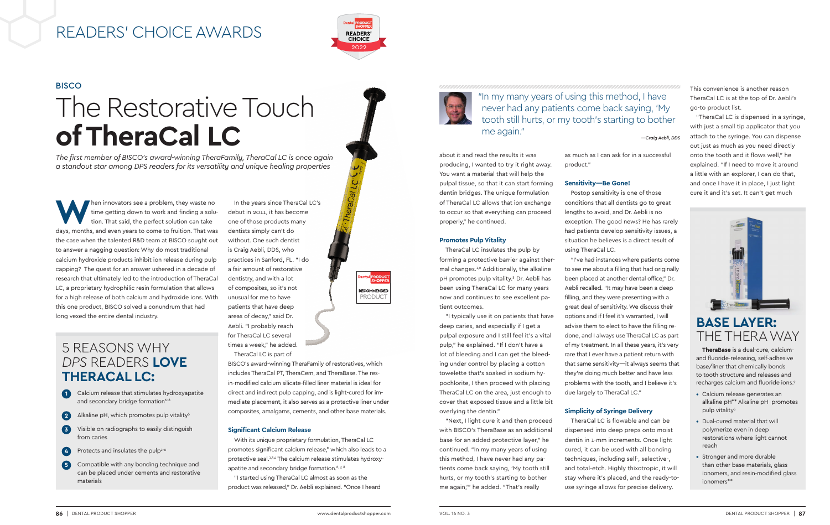time getting down to work and finding a solution. That said, the perfect solution can take time getting down to work and finding a solution. That said, the perfect solution can take days, months, and even years to come to fruition. That was the case when the talented R&D team at BISCO sought out to answer a nagging question: Why do most traditional calcium hydroxide products inhibit ion release during pulp capping? The quest for an answer ushered in a decade of research that ultimately led to the introduction of TheraCal LC, a proprietary hydrophilic resin formulation that allows for a high release of both calcium and hydroxide ions. With this one product, BISCO solved a conundrum that had long vexed the entire dental industry.

> With its unique proprietary formulation, TheraCal LC promotes significant calcium release,\* which also leads to a protective seal.<sup>1,3,4</sup> The calcium release stimulates hydroxyapatite and secondary bridge formation.<sup>6, 7, 8</sup>

In the years since TheraCal LC's debut in 2011, it has become one of those products many dentists simply can't do without. One such dentist is Craig Aebli, DDS, who practices in Sanford, FL. "I do a fair amount of restorative dentistry, and with a lot of composites, so it's not unusual for me to have patients that have deep areas of decay," said Dr. Aebli. "I probably reach for TheraCal LC several times a week," he added. TheraCal LC is part of



BISCO's award-winning TheraFamily of restoratives, which includes TheraCal PT, TheraCem, and TheraBase. The resin-modified calcium silicate-filled liner material is ideal for direct and indirect pulp capping, and is light-cured for immediate placement, it also serves as a protective liner under composites, amalgams, cements, and other base materials.

### **Significant Calcium Release**

"I started using TheraCal LC almost as soon as the product was released," Dr. Aebli explained. "Once I heard



## READERS' CHOICE AWARDS



about it and read the results it was producing, I wanted to try it right away. You want a material that will help the pulpal tissue, so that it can start forming dentin bridges. The unique formulation of TheraCal LC allows that ion exchange to occur so that everything can proceed properly," he continued.

### **Promotes Pulp Vitality**

TheraCal LC insulates the pulp by forming a protective barrier against thermal changes.1,2 Additionally, the alkaline pH promotes pulp vitality.5 Dr. Aebli has been using TheraCal LC for many years now and continues to see excellent patient outcomes.

# **BISCO** The Restorative Touch **of TheraCal LC**

"I typically use it on patients that have deep caries, and especially if I get a pulpal exposure and I still feel it's a vital pulp," he explained. "If I don't have a lot of bleeding and I can get the bleeding under control by placing a cotton towelette that's soaked in sodium hypochlorite, I then proceed with placing TheraCal LC on the area, just enough to cover that exposed tissue and a little bit overlying the dentin."

"Next, I light cure it and then proceed with BISCO's TheraBase as an additional base for an added protective layer," he continued. "In my many years of using this method, I have never had any patients come back saying, 'My tooth still hurts, or my tooth's starting to bother me again,'" he added. "That's really

as much as I can ask for in a successful

product."

### **Sensitivity—Be Gone!**

Postop sensitivity is one of those conditions that all dentists go to great lengths to avoid, and Dr. Aebli is no exception. The good news? He has rarely had patients develop sensitivity issues, a situation he believes is a direct result of using TheraCal LC.

"I've had instances where patients come to see me about a filling that had originally been placed at another dental office," Dr. Aebli recalled. "It may have been a deep filling, and they were presenting with a great deal of sensitivity. We discuss their options and if I feel it's warranted, I will advise them to elect to have the filling redone, and I always use TheraCal LC as part of my treatment. In all these years, it's very rare that I ever have a patient return with that same sensitivity—it always seems that they're doing much better and have less problems with the tooth, and I believe it's due largely to TheraCal LC."

### **Simplicity of Syringe Delivery**

TheraCal LC is flowable and can be dispensed into deep preps onto moist dentin in 1-mm increments. Once light cured, it can be used with all bonding techniques, including self-, selective-, and total-etch. Highly thixotropic, it will stay where it's placed, and the ready-touse syringe allows for precise delivery.

This convenience is another reason TheraCal LC is at the top of Dr. Aebli's go-to product list.

"TheraCal LC is dispensed in a syringe, with just a small tip applicator that you attach to the syringe. You can dispense out just as much as you need directly onto the tooth and it flows well," he explained. "If I need to move it around a little with an explorer, I can do that, and once I have it in place, I just light cure it and it's set. It can't get much



*The first member of BISCO's award-winning TheraFamily, TheraCal LC is once again a standout star among DPS readers for its versatility and unique healing properties* 

"In my many years of using this method, I have never had any patients come back saying, 'My tooth still hurts, or my tooth's starting to bother me again."

*—Craig Aebli, DDS*

### **BASE LAYER:**  THE THERA WAY

**TheraBase** is a dual-cure, calciumand fluoride-releasing, self-adhesive base/liner that chemically bonds to tooth structure and releases and recharges calcium and fluoride ions.9

- Calcium release generates an alkaline pH\*\* Alkaline pH promotes pulp vitality<sup>5</sup>
- Dual-cured material that will polymerize even in deep restorations where light cannot reach
- Stronger and more durable than other base materials, glass ionomers, and resin-modified glass ionomers\*\*

### 5 REASONS WHY *DPS* READERS **LOVE THERACAL LC:**

- **1** Calcium release that stimulates hydroxyapatite and secondary bridge formation<sup>6-8</sup>
- **2** Alkaline pH, which promotes pulp vitality<sup>5</sup>
- **3** Visible on radiographs to easily distinguish from caries
- **4** Protects and insulates the pulp<sup>1-2</sup>
- **5** Compatible with any bonding technique and can be placed under cements and restorative materials